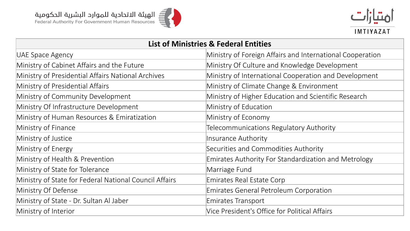



| <b>List of Ministries &amp; Federal Entities</b>       |                                                           |  |
|--------------------------------------------------------|-----------------------------------------------------------|--|
| UAE Space Agency                                       | Ministry of Foreign Affairs and International Cooperation |  |
| Ministry of Cabinet Affairs and the Future             | Ministry Of Culture and Knowledge Development             |  |
| Ministry of Presidential Affairs National Archives     | Ministry of International Cooperation and Development     |  |
| Ministry of Presidential Affairs                       | Ministry of Climate Change & Environment                  |  |
| Ministry of Community Development                      | Ministry of Higher Education and Scientific Research      |  |
| Ministry Of Infrastructure Development                 | Ministry of Education                                     |  |
| Ministry of Human Resources & Emiratization            | Ministry of Economy                                       |  |
| Ministry of Finance                                    | Telecommunications Regulatory Authority                   |  |
| Ministry of Justice                                    | Insurance Authority                                       |  |
| Ministry of Energy                                     | Securities and Commodities Authority                      |  |
| Ministry of Health & Prevention                        | Emirates Authority For Standardization and Metrology      |  |
| Ministry of State for Tolerance                        | Marriage Fund                                             |  |
| Ministry of State for Federal National Council Affairs | Emirates Real Estate Corp                                 |  |
| Ministry Of Defense                                    | <b>Emirates General Petroleum Corporation</b>             |  |
| Ministry of State - Dr. Sultan Al Jaber                | Emirates Transport                                        |  |
| Ministry of Interior                                   | Vice President's Office for Political Affairs             |  |